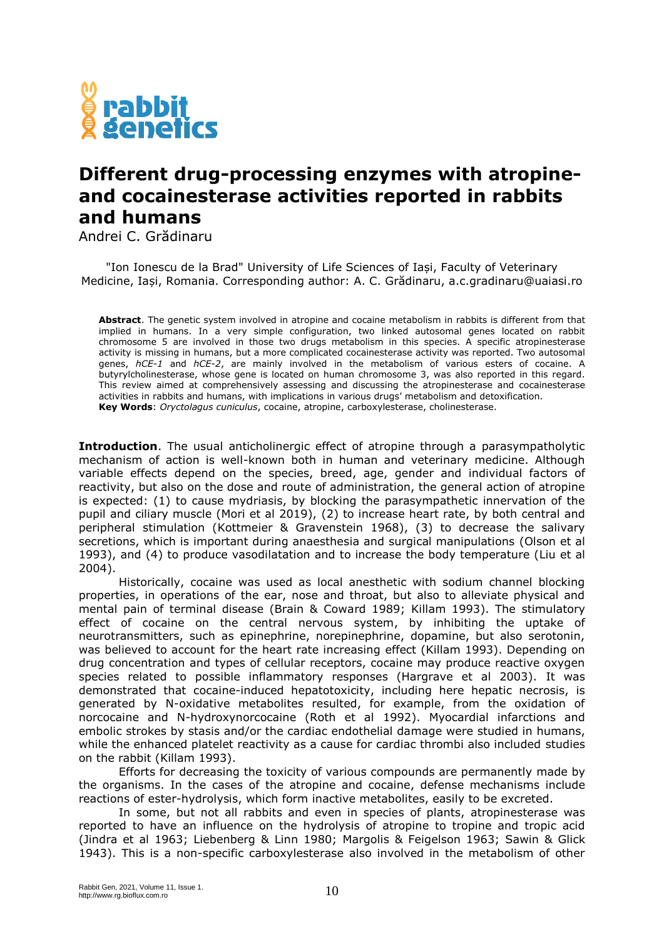

## **Different drug-processing enzymes with atropineand cocainesterase activities reported in rabbits and humans**

Andrei C. Grădinaru

"Ion Ionescu de la Brad" University of Life Sciences of Iași, Faculty of Veterinary Medicine, Iași, Romania. Corresponding author: A. C. Grădinaru, a.c.gradinaru@uaiasi.ro

**Abstract**. The genetic system involved in atropine and cocaine metabolism in rabbits is different from that implied in humans. In a very simple configuration, two linked autosomal genes located on rabbit chromosome 5 are involved in those two drugs metabolism in this species. A specific atropinesterase activity is missing in humans, but a more complicated cocainesterase activity was reported. Two autosomal genes, *hCE-1* and *hCE-2*, are mainly involved in the metabolism of various esters of cocaine. A butyrylcholinesterase, whose gene is located on human chromosome 3, was also reported in this regard. This review aimed at comprehensively assessing and discussing the atropinesterase and cocainesterase activities in rabbits and humans, with implications in various drugs' metabolism and detoxification. **Key Words**: *Oryctolagus cuniculus*, cocaine, atropine, carboxylesterase, cholinesterase.

**Introduction**. The usual anticholinergic effect of atropine through a parasympatholytic mechanism of action is well-known both in human and veterinary medicine. Although variable effects depend on the species, breed, age, gender and individual factors of reactivity, but also on the dose and route of administration, the general action of atropine is expected: (1) to cause mydriasis, by blocking the parasympathetic innervation of the pupil and ciliary muscle (Mori et al 2019), (2) to increase heart rate, by both central and peripheral stimulation (Kottmeier & Gravenstein 1968), (3) to decrease the salivary secretions, which is important during anaesthesia and surgical manipulations (Olson et al 1993), and (4) to produce vasodilatation and to increase the body temperature (Liu et al 2004).

Historically, cocaine was used as local anesthetic with sodium channel blocking properties, in operations of the ear, nose and throat, but also to alleviate physical and mental pain of terminal disease (Brain & Coward 1989; Killam 1993). The stimulatory effect of cocaine on the central nervous system, by inhibiting the uptake of neurotransmitters, such as epinephrine, norepinephrine, dopamine, but also serotonin, was believed to account for the heart rate increasing effect (Killam 1993). Depending on drug concentration and types of cellular receptors, cocaine may produce reactive oxygen species related to possible inflammatory responses (Hargrave et al 2003). It was demonstrated that cocaine-induced hepatotoxicity, including here hepatic necrosis, is generated by N-oxidative metabolites resulted, for example, from the oxidation of norcocaine and N-hydroxynorcocaine (Roth et al 1992). Myocardial infarctions and embolic strokes by stasis and/or the cardiac endothelial damage were studied in humans, while the enhanced platelet reactivity as a cause for cardiac thrombi also included studies on the rabbit (Killam 1993).

Efforts for decreasing the toxicity of various compounds are permanently made by the organisms. In the cases of the atropine and cocaine, defense mechanisms include reactions of ester-hydrolysis, which form inactive metabolites, easily to be excreted.

In some, but not all rabbits and even in species of plants, atropinesterase was reported to have an influence on the hydrolysis of atropine to tropine and tropic acid (Jindra et al 1963; Liebenberg & Linn 1980; Margolis & Feigelson 1963; Sawin & Glick 1943). This is a non-specific carboxylesterase also involved in the metabolism of other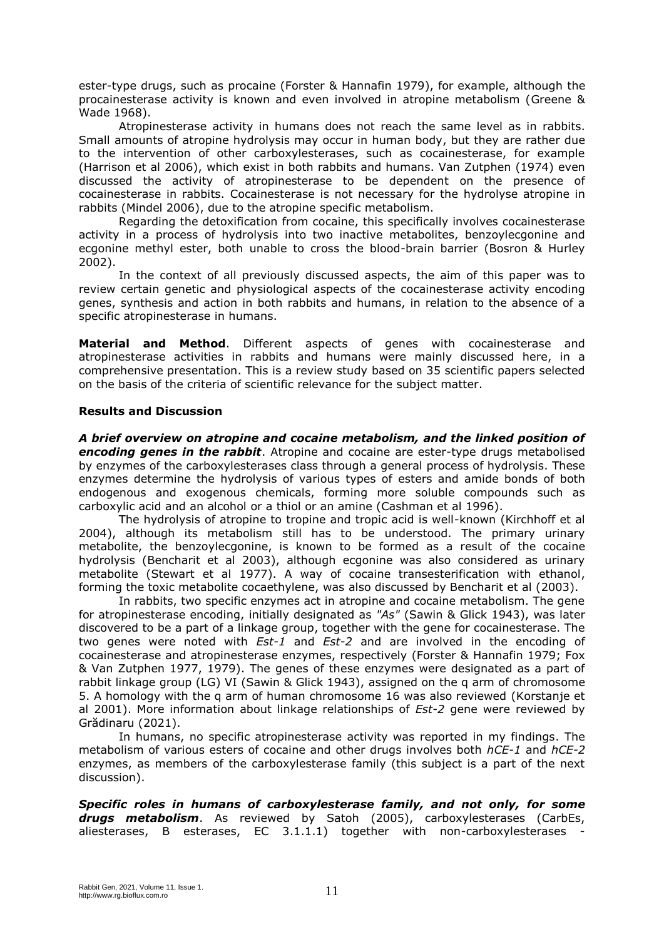ester-type drugs, such as procaine (Forster & Hannafin 1979), for example, although the procainesterase activity is known and even involved in atropine metabolism (Greene & Wade 1968).

Atropinesterase activity in humans does not reach the same level as in rabbits. Small amounts of atropine hydrolysis may occur in human body, but they are rather due to the intervention of other carboxylesterases, such as cocainesterase, for example (Harrison et al 2006), which exist in both rabbits and humans. Van Zutphen (1974) even discussed the activity of atropinesterase to be dependent on the presence of cocainesterase in rabbits. Cocainesterase is not necessary for the hydrolyse atropine in rabbits (Mindel 2006), due to the atropine specific metabolism.

Regarding the detoxification from cocaine, this specifically involves cocainesterase activity in a process of hydrolysis into two inactive metabolites, benzoylecgonine and ecgonine methyl ester, both unable to cross the blood-brain barrier (Bosron & Hurley 2002).

In the context of all previously discussed aspects, the aim of this paper was to review certain genetic and physiological aspects of the cocainesterase activity encoding genes, synthesis and action in both rabbits and humans, in relation to the absence of a specific atropinesterase in humans.

**Material and Method**. Different aspects of genes with cocainesterase and atropinesterase activities in rabbits and humans were mainly discussed here, in a comprehensive presentation. This is a review study based on 35 scientific papers selected on the basis of the criteria of scientific relevance for the subject matter.

## **Results and Discussion**

*A brief overview on atropine and cocaine metabolism, and the linked position of encoding genes in the rabbit*. Atropine and cocaine are ester-type drugs metabolised by enzymes of the carboxylesterases class through a general process of hydrolysis. These enzymes determine the hydrolysis of various types of esters and amide bonds of both endogenous and exogenous chemicals, forming more soluble compounds such as carboxylic acid and an alcohol or a thiol or an amine (Cashman et al 1996).

The hydrolysis of atropine to tropine and tropic acid is well-known (Kirchhoff et al 2004), although its metabolism still has to be understood. The primary urinary metabolite, the benzoylecgonine, is known to be formed as a result of the cocaine hydrolysis (Bencharit et al 2003), although ecgonine was also considered as urinary metabolite (Stewart et al 1977). A way of cocaine transesterification with ethanol, forming the toxic metabolite cocaethylene, was also discussed by Bencharit et al (2003).

In rabbits, two specific enzymes act in atropine and cocaine metabolism. The gene for atropinesterase encoding, initially designated as *"As"* (Sawin & Glick 1943), was later discovered to be a part of a linkage group, together with the gene for cocainesterase. The two genes were noted with *Est-1* and *Est-2* and are involved in the encoding of cocainesterase and atropinesterase enzymes, respectively (Forster & Hannafin 1979; Fox & Van Zutphen 1977, 1979). The genes of these enzymes were designated as a part of rabbit linkage group (LG) VI (Sawin & Glick 1943), assigned on the q arm of chromosome 5. A homology with the q arm of human chromosome 16 was also reviewed (Korstanje et al 2001). More information about linkage relationships of *Est-2* gene were reviewed by Grădinaru (2021).

In humans, no specific atropinesterase activity was reported in my findings. The metabolism of various esters of cocaine and other drugs involves both *hCE-1* and *hCE-2* enzymes, as members of the carboxylesterase family (this subject is a part of the next discussion).

*Specific roles in humans of carboxylesterase family, and not only, for some drugs metabolism*. As reviewed by Satoh (2005), carboxylesterases (CarbEs, aliesterases, B esterases, EC 3.1.1.1) together with non-carboxylesterases -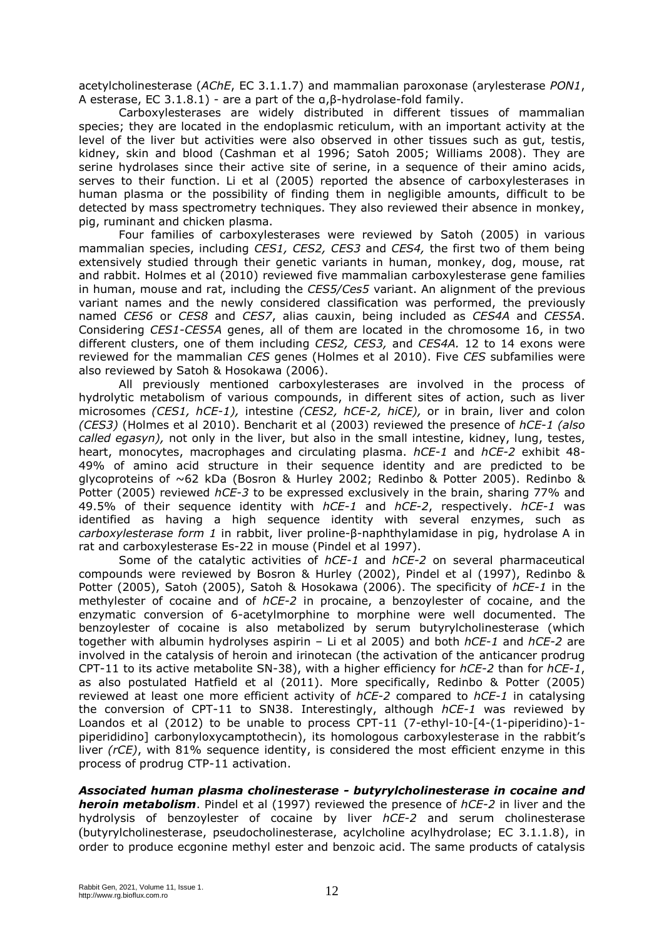acetylcholinesterase (*AChE*, EC 3.1.1.7) and mammalian paroxonase (arylesterase *PON1*, A esterase, EC 3.1.8.1) - are a part of the α,β-hydrolase-fold family.

Carboxylesterases are widely distributed in different tissues of mammalian species; they are located in the endoplasmic reticulum, with an important activity at the level of the liver but activities were also observed in other tissues such as gut, testis, kidney, skin and blood (Cashman et al 1996; Satoh 2005; Williams 2008). They are serine hydrolases since their active site of serine, in a sequence of their amino acids, serves to their function. Li et al (2005) reported the absence of carboxylesterases in human plasma or the possibility of finding them in negligible amounts, difficult to be detected by mass spectrometry techniques. They also reviewed their absence in monkey, pig, ruminant and chicken plasma.

Four families of carboxylesterases were reviewed by Satoh (2005) in various mammalian species, including *CES1, CES2, CES3* and *CES4,* the first two of them being extensively studied through their genetic variants in human, monkey, dog, mouse, rat and rabbit. Holmes et al (2010) reviewed five mammalian carboxylesterase gene families in human, mouse and rat, including the *CES5/Ces5* variant. An alignment of the previous variant names and the newly considered classification was performed, the previously named *CES6* or *CES8* and *CES7*, alias cauxin, being included as *CES4A* and *CES5A*. Considering *CES1-CES5A* genes, all of them are located in the chromosome 16, in two different clusters, one of them including *CES2, CES3,* and *CES4A.* 12 to 14 exons were reviewed for the mammalian *CES* genes (Holmes et al 2010). Five *CES* subfamilies were also reviewed by Satoh & Hosokawa (2006).

All previously mentioned carboxylesterases are involved in the process of hydrolytic metabolism of various compounds, in different sites of action, such as liver microsomes *(CES1, hCE-1),* intestine *(CES2, hCE-2, hiCE),* or in brain, liver and colon *(CES3)* (Holmes et al 2010). Bencharit et al (2003) reviewed the presence of *hCE-1 (also called egasyn),* not only in the liver, but also in the small intestine, kidney, lung, testes, heart, monocytes, macrophages and circulating plasma. *hCE-1* and *hCE-2* exhibit 48- 49% of amino acid structure in their sequence identity and are predicted to be glycoproteins of ~62 kDa (Bosron & Hurley 2002; Redinbo & Potter 2005). Redinbo & Potter (2005) reviewed *hCE-3* to be expressed exclusively in the brain, sharing 77% and 49.5% of their sequence identity with *hCE-1* and *hCE-2*, respectively. *hCE-1* was identified as having a high sequence identity with several enzymes, such as *carboxylesterase form 1* in rabbit, liver proline-β-naphthylamidase in pig, hydrolase A in rat and carboxylesterase Es-22 in mouse (Pindel et al 1997).

Some of the catalytic activities of *hCE-1* and *hCE-2* on several pharmaceutical compounds were reviewed by Bosron & Hurley (2002), Pindel et al (1997), Redinbo & Potter (2005), Satoh (2005), Satoh & Hosokawa (2006). The specificity of *hCE-1* in the methylester of cocaine and of *hCE-2* in procaine, a benzoylester of cocaine, and the enzymatic conversion of 6-acetylmorphine to morphine were well documented. The benzoylester of cocaine is also metabolized by serum butyrylcholinesterase (which together with albumin hydrolyses aspirin – Li et al 2005) and both *hCE-1* and *hCE-2* are involved in the catalysis of heroin and irinotecan (the activation of the anticancer prodrug CPT-11 to its active metabolite SN-38), with a higher efficiency for *hCE-2* than for *hCE-1*, as also postulated Hatfield et al (2011). More specifically, Redinbo & Potter (2005) reviewed at least one more efficient activity of *hCE-2* compared to *hCE-1* in catalysing the conversion of CPT-11 to SN38. Interestingly, although *hCE-1* was reviewed by Loandos et al (2012) to be unable to process CPT-11 (7-ethyl-10-[4-(1-piperidino)-1piperididino] carbonyloxycamptothecin), its homologous carboxylesterase in the rabbit's liver *(rCE)*, with 81% sequence identity, is considered the most efficient enzyme in this process of prodrug CTP-11 activation.

*Associated human plasma cholinesterase - butyrylcholinesterase in cocaine and heroin metabolism*. Pindel et al (1997) reviewed the presence of *hCE-2* in liver and the hydrolysis of benzoylester of cocaine by liver *hCE-2* and serum cholinesterase (butyrylcholinesterase, pseudocholinesterase, acylcholine acylhydrolase; EC 3.1.1.8), in order to produce ecgonine methyl ester and benzoic acid. The same products of catalysis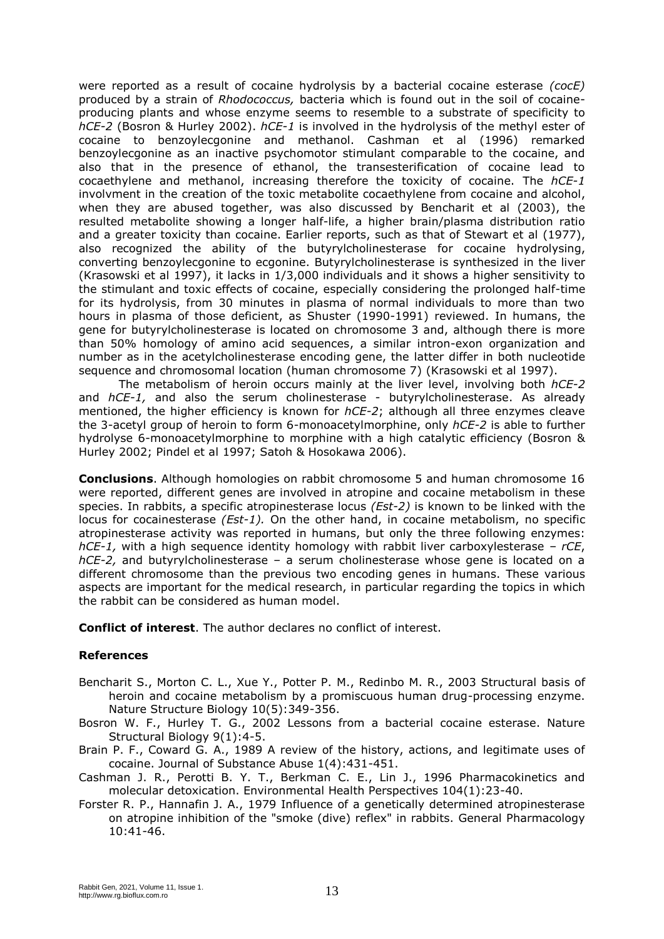were reported as a result of cocaine hydrolysis by a bacterial cocaine esterase *(cocE)* produced by a strain of *Rhodococcus,* bacteria which is found out in the soil of cocaineproducing plants and whose enzyme seems to resemble to a substrate of specificity to *hCE-2* (Bosron & Hurley 2002). *hCE-1* is involved in the hydrolysis of the methyl ester of cocaine to benzoylecgonine and methanol. Cashman et al (1996) remarked benzoylecgonine as an inactive psychomotor stimulant comparable to the cocaine, and also that in the presence of ethanol, the transesterification of cocaine lead to cocaethylene and methanol, increasing therefore the toxicity of cocaine. The *hCE-1* involvment in the creation of the toxic metabolite cocaethylene from cocaine and alcohol, when they are abused together, was also discussed by Bencharit et al (2003), the resulted metabolite showing a longer half-life, a higher brain/plasma distribution ratio and a greater toxicity than cocaine. Earlier reports, such as that of Stewart et al (1977), also recognized the ability of the butyrylcholinesterase for cocaine hydrolysing, converting benzoylecgonine to ecgonine. Butyrylcholinesterase is synthesized in the liver (Krasowski et al 1997), it lacks in 1/3,000 individuals and it shows a higher sensitivity to the stimulant and toxic effects of cocaine, especially considering the prolonged half-time for its hydrolysis, from 30 minutes in plasma of normal individuals to more than two hours in plasma of those deficient, as Shuster (1990-1991) reviewed. In humans, the gene for butyrylcholinesterase is located on chromosome 3 and, although there is more than 50% homology of amino acid sequences, a similar intron-exon organization and number as in the acetylcholinesterase encoding gene, the latter differ in both nucleotide sequence and chromosomal location (human chromosome 7) (Krasowski et al 1997).

The metabolism of heroin occurs mainly at the liver level, involving both *hCE-2* and *hCE-1,* and also the serum cholinesterase - butyrylcholinesterase. As already mentioned, the higher efficiency is known for *hCE-2*; although all three enzymes cleave the 3-acetyl group of heroin to form 6-monoacetylmorphine, only *hCE-2* is able to further hydrolyse 6-monoacetylmorphine to morphine with a high catalytic efficiency (Bosron & Hurley 2002; Pindel et al 1997; Satoh & Hosokawa 2006).

**Conclusions**. Although homologies on rabbit chromosome 5 and human chromosome 16 were reported, different genes are involved in atropine and cocaine metabolism in these species. In rabbits, a specific atropinesterase locus *(Est-2)* is known to be linked with the locus for cocainesterase *(Est-1).* On the other hand, in cocaine metabolism, no specific atropinesterase activity was reported in humans, but only the three following enzymes: *hCE-1,* with a high sequence identity homology with rabbit liver carboxylesterase – *rCE*, *hCE-2,* and butyrylcholinesterase – a serum cholinesterase whose gene is located on a different chromosome than the previous two encoding genes in humans. These various aspects are important for the medical research, in particular regarding the topics in which the rabbit can be considered as human model.

**Conflict of interest**. The author declares no conflict of interest.

## **References**

- Bencharit S., Morton C. L., Xue Y., Potter P. M., Redinbo M. R., 2003 Structural basis of heroin and cocaine metabolism by a promiscuous human drug-processing enzyme. Nature Structure Biology 10(5):349-356.
- Bosron W. F., Hurley T. G., 2002 Lessons from a bacterial cocaine esterase. Nature Structural Biology 9(1):4-5.
- Brain P. F., Coward G. A., 1989 A review of the history, actions, and legitimate uses of cocaine. Journal of Substance Abuse 1(4):431-451.
- Cashman J. R., Perotti B. Y. T., Berkman C. E., Lin J., 1996 Pharmacokinetics and molecular detoxication. Environmental Health Perspectives 104(1):23-40.
- Forster R. P., Hannafin J. A., 1979 Influence of a genetically determined atropinesterase on atropine inhibition of the "smoke (dive) reflex" in rabbits. General Pharmacology 10:41-46.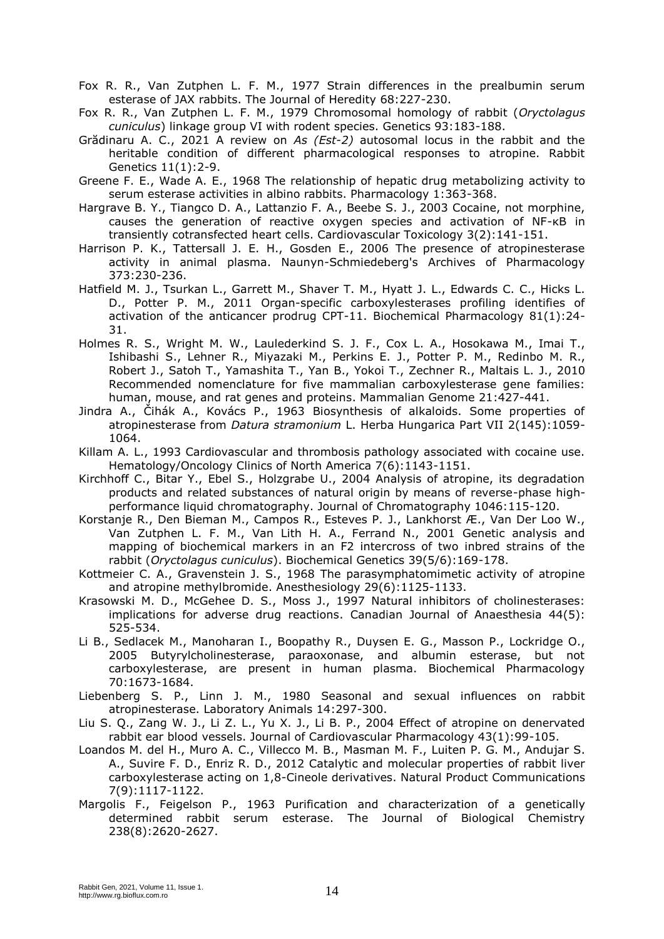- Fox R. R., Van Zutphen L. F. M., 1977 Strain differences in the prealbumin serum esterase of JAX rabbits. The Journal of Heredity 68:227-230.
- Fox R. R., Van Zutphen L. F. M., 1979 Chromosomal homology of rabbit (*Oryctolagus cuniculus*) linkage group VI with rodent species. Genetics 93:183-188.
- Grădinaru A. C., 2021 A review on *As (Est-2)* autosomal locus in the rabbit and the heritable condition of different pharmacological responses to atropine. Rabbit Genetics 11(1):2-9.
- Greene F. E., Wade A. E., 1968 The relationship of hepatic drug metabolizing activity to serum esterase activities in albino rabbits. Pharmacology 1:363-368.
- Hargrave B. Y., Tiangco D. A., Lattanzio F. A., Beebe S. J., 2003 Cocaine, not morphine, causes the generation of reactive oxygen species and activation of NF-KB in transiently cotransfected heart cells. Cardiovascular Toxicology 3(2):141-151.
- Harrison P. K., Tattersall J. E. H., Gosden E., 2006 The presence of atropinesterase activity in animal plasma. Naunyn-Schmiedeberg's Archives of Pharmacology 373:230-236.
- Hatfield M. J., Tsurkan L., Garrett M., Shaver T. M., Hyatt J. L., Edwards C. C., Hicks L. D., Potter P. M., 2011 Organ-specific carboxylesterases profiling identifies of activation of the anticancer prodrug CPT-11. Biochemical Pharmacology 81(1):24- 31.
- Holmes R. S., Wright M. W., Laulederkind S. J. F., Cox L. A., Hosokawa M., Imai T., Ishibashi S., Lehner R., Miyazaki M., Perkins E. J., Potter P. M., Redinbo M. R., Robert J., Satoh T., Yamashita T., Yan B., Yokoi T., Zechner R., Maltais L. J., 2010 Recommended nomenclature for five mammalian carboxylesterase gene families: human, mouse, and rat genes and proteins. Mammalian Genome 21:427-441.
- Jindra A., Čihák A., Kovács P., 1963 Biosynthesis of alkaloids. Some properties of atropinesterase from *Datura stramonium* L. Herba Hungarica Part VII 2(145):1059- 1064.
- Killam A. L., 1993 Cardiovascular and thrombosis pathology associated with cocaine use. Hematology/Oncology Clinics of North America 7(6):1143-1151.
- Kirchhoff C., Bitar Y., Ebel S., Holzgrabe U., 2004 Analysis of atropine, its degradation products and related substances of natural origin by means of reverse-phase highperformance liquid chromatography. Journal of Chromatography 1046:115-120.
- Korstanje R., Den Bieman M., Campos R., Esteves P. J., Lankhorst Æ., Van Der Loo W., Van Zutphen L. F. M., Van Lith H. A., Ferrand N., 2001 Genetic analysis and mapping of biochemical markers in an F2 intercross of two inbred strains of the rabbit (*Oryctolagus cuniculus*). Biochemical Genetics 39(5/6):169-178.
- Kottmeier C. A., Gravenstein J. S., 1968 The parasymphatomimetic activity of atropine and atropine methylbromide. Anesthesiology 29(6):1125-1133.
- Krasowski M. D., McGehee D. S., Moss J., 1997 Natural inhibitors of cholinesterases: implications for adverse drug reactions. Canadian Journal of Anaesthesia 44(5): 525-534.
- Li B., Sedlacek M., Manoharan I., Boopathy R., Duysen E. G., Masson P., Lockridge O., 2005 Butyrylcholinesterase, paraoxonase, and albumin esterase, but not carboxylesterase, are present in human plasma. Biochemical Pharmacology 70:1673-1684.
- Liebenberg S. P., Linn J. M., 1980 Seasonal and sexual influences on rabbit atropinesterase. Laboratory Animals 14:297-300.
- Liu S. Q., Zang W. J., Li Z. L., Yu X. J., Li B. P., 2004 Effect of atropine on denervated rabbit ear blood vessels. Journal of Cardiovascular Pharmacology 43(1):99-105.
- Loandos M. del H., Muro A. C., Villecco M. B., Masman M. F., Luiten P. G. M., Andujar S. A., Suvire F. D., Enriz R. D., 2012 Catalytic and molecular properties of rabbit liver carboxylesterase acting on 1,8-Cineole derivatives. Natural Product Communications 7(9):1117-1122.
- Margolis F., Feigelson P., 1963 Purification and characterization of a genetically determined rabbit serum esterase. The Journal of Biological Chemistry 238(8):2620-2627.